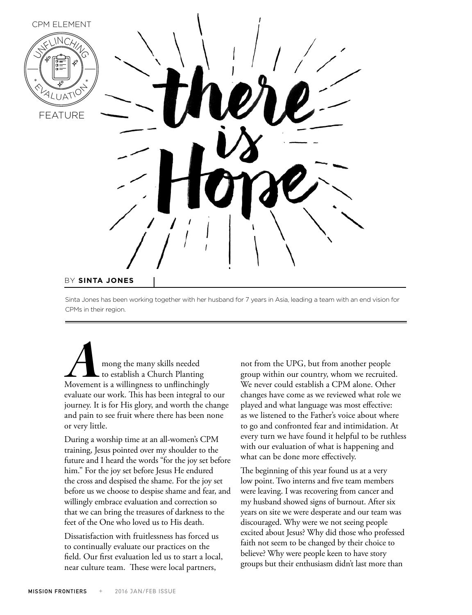

Sinta Jones has been working together with her husband for 7 years in Asia, leading a team with an end vision for CPMs in their region.

**AMURGE 18**<br>
The many skills needed to establish a Church Planting<br>
Movement is a willingness to unflinchingly to establish a Church Planting evaluate our work. This has been integral to our journey. It is for His glory, and worth the change and pain to see fruit where there has been none or very little.

During a worship time at an all-women's CPM training, Jesus pointed over my shoulder to the future and I heard the words "for the joy set before him." For the joy set before Jesus He endured the cross and despised the shame. For the joy set before us we choose to despise shame and fear, and willingly embrace evaluation and correction so that we can bring the treasures of darkness to the feet of the One who loved us to His death.

Dissatisfaction with fruitlessness has forced us to continually evaluate our practices on the field. Our first evaluation led us to start a local, near culture team. These were local partners,

not from the UPG, but from another people group within our country, whom we recruited. We never could establish a CPM alone. Other changes have come as we reviewed what role we played and what language was most effective: as we listened to the Father's voice about where to go and confronted fear and intimidation. At every turn we have found it helpful to be ruthless with our evaluation of what is happening and what can be done more effectively.

The beginning of this year found us at a very low point. Two interns and five team members were leaving. I was recovering from cancer and my husband showed signs of burnout. After six years on site we were desperate and our team was discouraged. Why were we not seeing people excited about Jesus? Why did those who professed faith not seem to be changed by their choice to believe? Why were people keen to have story groups but their enthusiasm didn't last more than